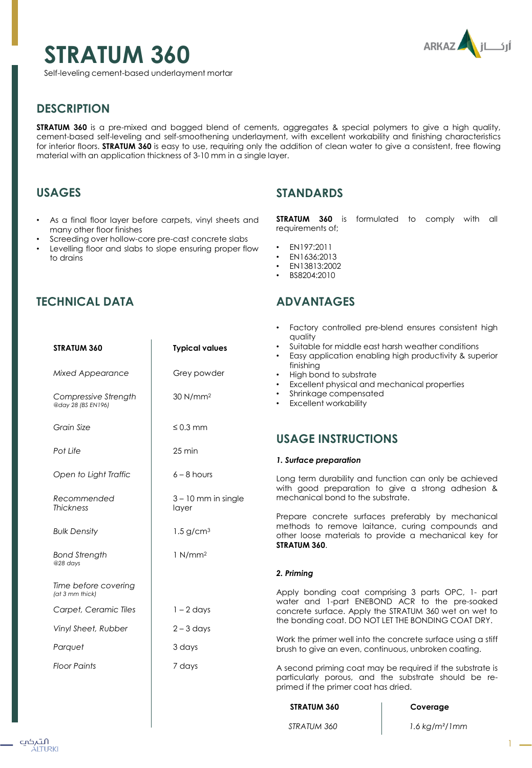# **ARKAZ** أركاز

1

**STRATUM 360**

Self-leveling cement-based underlayment mortar

# **DESCRIPTION**

**STRATUM 360** is a pre-mixed and bagged blend of cements, aggregates & special polymers to give a high quality, cement-based self-leveling and self-smoothening underlayment, with excellent workability and finishing characteristics for interior floors. **STRATUM 360** is easy to use, requiring only the addition of clean water to give a consistent, free flowing material with an application thickness of 3-10 mm in a single layer.

# **USAGES**

- As a final floor layer before carpets, vinyl sheets and many other floor finishes
- Screeding over hollow-core pre-cast concrete slabs
- Levelling floor and slabs to slope ensuring proper flow to drains

## **STANDARDS**

**STRATUM 360** is formulated to comply with all requirements of;

*STRATUM 360 1.6 kg/m²/1mm*

- EN197:2011
- EN1636:2013
- EN13813:2002
- BS8204:2010

# **ADVANTAGES**

| STRATUM 360                                | <b>Typical values</b>          | Factory controlled pre-blend ensures consistent high<br>quality<br>Suitable for middle east harsh weather conditions<br>Easy application enabling high productivity & superior<br>finishing<br>High bond to substrate<br>Excellent physical and mechanical properties<br>$\bullet$<br>Shrinkage compensated<br><b>Excellent workability</b><br><b>USAGE INSTRUCTIONS</b> |                                                                                                      |
|--------------------------------------------|--------------------------------|--------------------------------------------------------------------------------------------------------------------------------------------------------------------------------------------------------------------------------------------------------------------------------------------------------------------------------------------------------------------------|------------------------------------------------------------------------------------------------------|
| <b>Mixed Appearance</b>                    | Grey powder                    |                                                                                                                                                                                                                                                                                                                                                                          |                                                                                                      |
| Compressive Strength<br>@day 28 (BS EN196) | 30 N/mm <sup>2</sup>           |                                                                                                                                                                                                                                                                                                                                                                          |                                                                                                      |
| Grain Size                                 | $\leq 0.3$ mm                  |                                                                                                                                                                                                                                                                                                                                                                          |                                                                                                      |
| Pot Life                                   | $25 \,\mathrm{min}$            |                                                                                                                                                                                                                                                                                                                                                                          |                                                                                                      |
|                                            |                                | 1. Surface preparation                                                                                                                                                                                                                                                                                                                                                   |                                                                                                      |
| Open to Light Traffic                      | $6 - 8$ hours                  | Long term durability and function can only be achieved<br>with good preparation to give a strong adhesion &                                                                                                                                                                                                                                                              |                                                                                                      |
| Recommended<br><b>Thickness</b>            | $3 - 10$ mm in single<br>layer | mechanical bond to the substrate.<br>Prepare concrete surfaces preferably by mechanical<br>methods to remove laitance, curing compounds and<br>other loose materials to provide a mechanical key for<br>STRATUM 360.                                                                                                                                                     |                                                                                                      |
| <b>Bulk Density</b>                        | $1.5$ g/cm <sup>3</sup>        |                                                                                                                                                                                                                                                                                                                                                                          |                                                                                                      |
| <b>Bond Strength</b><br>@28 days           | 1 N/mm <sup>2</sup>            |                                                                                                                                                                                                                                                                                                                                                                          |                                                                                                      |
|                                            |                                | 2. Priming                                                                                                                                                                                                                                                                                                                                                               |                                                                                                      |
| Time before covering<br>(at 3 mm thick)    |                                |                                                                                                                                                                                                                                                                                                                                                                          | Apply bonding coat comprising 3 parts OPC, 1- part<br>water and 1-part ENEBOND ACR to the pre-soaked |
| Carpet, Ceramic Tiles                      | $1 - 2$ days                   | concrete surface. Apply the STRATUM 360 wet on wet to                                                                                                                                                                                                                                                                                                                    |                                                                                                      |
| Vinyl Sheet, Rubber                        | $2 - 3$ days                   | the bonding coat. DO NOT LET THE BONDING COAT DRY.                                                                                                                                                                                                                                                                                                                       |                                                                                                      |
| Parquet                                    | 3 days                         | Work the primer well into the concrete surface using a stiff<br>brush to give an even, continuous, unbroken coating.                                                                                                                                                                                                                                                     |                                                                                                      |
| <b>Floor Paints</b>                        | 7 days                         | A second priming coat may be required if the substrate is<br>particularly porous, and the substrate should be re-<br>primed if the primer coat has dried.                                                                                                                                                                                                                |                                                                                                      |
|                                            |                                | STRATUM 360                                                                                                                                                                                                                                                                                                                                                              | Coverage                                                                                             |
|                                            |                                |                                                                                                                                                                                                                                                                                                                                                                          |                                                                                                      |

# **TECHNICAL DATA**

#### التہکپ ÁLTURKI